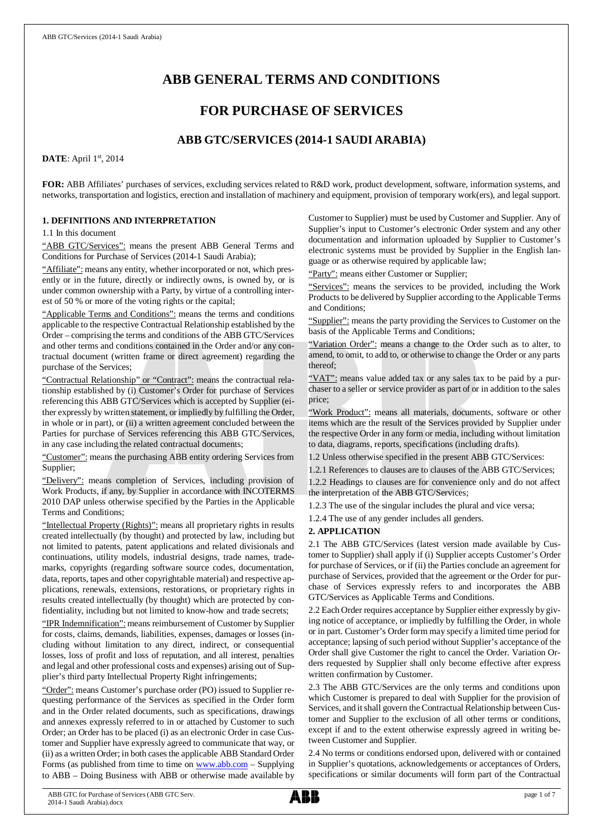# **ABB GENERAL TERMS AND CONDITIONS**

# **FOR PURCHASE OF SERVICES**

# **ABB GTC/SERVICES (2014-1 SAUDI ARABIA)**

**DATE**: April 1st, 2014

**FOR:** ABB Affiliates' purchases of services, excluding services related to R&D work, product development, software, information systems, and networks, transportation and logistics, erection and installation of machinery and equipment, provision of temporary work(ers), and legal support.

### **1. DEFINITIONS AND INTERPRETATION**

1.1 In this document

"ABB GTC/Services": means the present ABB General Terms and Conditions for Purchase of Services (2014-1 Saudi Arabia);

"Affiliate": means any entity, whether incorporated or not, which presently or in the future, directly or indirectly owns, is owned by, or is under common ownership with a Party, by virtue of a controlling interest of 50 % or more of the voting rights or the capital;

"Applicable Terms and Conditions": means the terms and conditions applicable to the respective Contractual Relationship established by the Order – comprising the terms and conditions of the ABB GTC/Services and other terms and conditions contained in the Order and/or any contractual document (written frame or direct agreement) regarding the purchase of the Services;

"Contractual Relationship" or "Contract": means the contractual relationship established by (i) Customer's Order for purchase of Services referencing this ABB GTC/Services which is accepted by Supplier (either expressly by written statement, or impliedly by fulfilling the Order, in whole or in part), or (ii) a written agreement concluded between the Parties for purchase of Services referencing this ABB GTC/Services, in any case including the related contractual documents;

"Customer": means the purchasing ABB entity ordering Services from Supplier;

"Delivery": means completion of Services, including provision of Work Products, if any, by Supplier in accordance with INCOTERMS 2010 DAP unless otherwise specified by the Parties in the Applicable Terms and Conditions;

"Intellectual Property (Rights)": means all proprietary rights in results created intellectually (by thought) and protected by law, including but not limited to patents, patent applications and related divisionals and continuations, utility models, industrial designs, trade names, trademarks, copyrights (regarding software source codes, documentation, data, reports, tapes and other copyrightable material) and respective applications, renewals, extensions, restorations, or proprietary rights in results created intellectually (by thought) which are protected by confidentiality, including but not limited to know-how and trade secrets;

"IPR Indemnification": means reimbursement of Customer by Supplier for costs, claims, demands, liabilities, expenses, damages or losses (including without limitation to any direct, indirect, or consequential losses, loss of profit and loss of reputation, and all interest, penalties and legal and other professional costs and expenses) arising out of Supplier's third party Intellectual Property Right infringements;

"Order": means Customer's purchase order (PO) issued to Supplier requesting performance of the Services as specified in the Order form and in the Order related documents, such as specifications, drawings and annexes expressly referred to in or attached by Customer to such Order; an Order has to be placed (i) as an electronic Order in case Customer and Supplier have expressly agreed to communicate that way, or (ii) as a written Order; in both cases the applicable ABB Standard Order Forms (as published from time to time on [www.abb.com](http://www.abb.com/) - Supplying to ABB – Doing Business with ABB or otherwise made available by Customer to Supplier) must be used by Customer and Supplier. Any of Supplier's input to Customer's electronic Order system and any other documentation and information uploaded by Supplier to Customer's electronic systems must be provided by Supplier in the English language or as otherwise required by applicable law;

"Party": means either Customer or Supplier;

"Services": means the services to be provided, including the Work Products to be delivered by Supplier according to the Applicable Terms and Conditions;

"Supplier": means the party providing the Services to Customer on the basis of the Applicable Terms and Conditions;

"Variation Order": means a change to the Order such as to alter, to amend, to omit, to add to, or otherwise to change the Order or any parts thereof;

"VAT": means value added tax or any sales tax to be paid by a purchaser to a seller or service provider as part of or in addition to the sales price;

"Work Product": means all materials, documents, software or other items which are the result of the Services provided by Supplier under the respective Order in any form or media, including without limitation to data, diagrams, reports, specifications (including drafts).

1.2 Unless otherwise specified in the present ABB GTC/Services:

1.2.1 References to clauses are to clauses of the ABB GTC/Services; 1.2.2 Headings to clauses are for convenience only and do not affect the interpretation of the ABB GTC/Services;

1.2.3 The use of the singular includes the plural and vice versa;

1.2.4 The use of any gender includes all genders.

### **2. APPLICATION**

2.1 The ABB GTC/Services (latest version made available by Customer to Supplier) shall apply if (i) Supplier accepts Customer's Order for purchase of Services, or if (ii) the Parties conclude an agreement for purchase of Services, provided that the agreement or the Order for purchase of Services expressly refers to and incorporates the ABB GTC/Services as Applicable Terms and Conditions.

2.2 Each Order requires acceptance by Supplier either expressly by giving notice of acceptance, or impliedly by fulfilling the Order, in whole or in part. Customer's Order form may specify a limited time period for acceptance; lapsing of such period without Supplier's acceptance of the Order shall give Customer the right to cancel the Order. Variation Orders requested by Supplier shall only become effective after express written confirmation by Customer.

2.3 The ABB GTC/Services are the only terms and conditions upon which Customer is prepared to deal with Supplier for the provision of Services, and it shall govern the Contractual Relationship between Customer and Supplier to the exclusion of all other terms or conditions, except if and to the extent otherwise expressly agreed in writing between Customer and Supplier.

2.4 No terms or conditions endorsed upon, delivered with or contained in Supplier's quotations, acknowledgements or acceptances of Orders, specifications or similar documents will form part of the Contractual

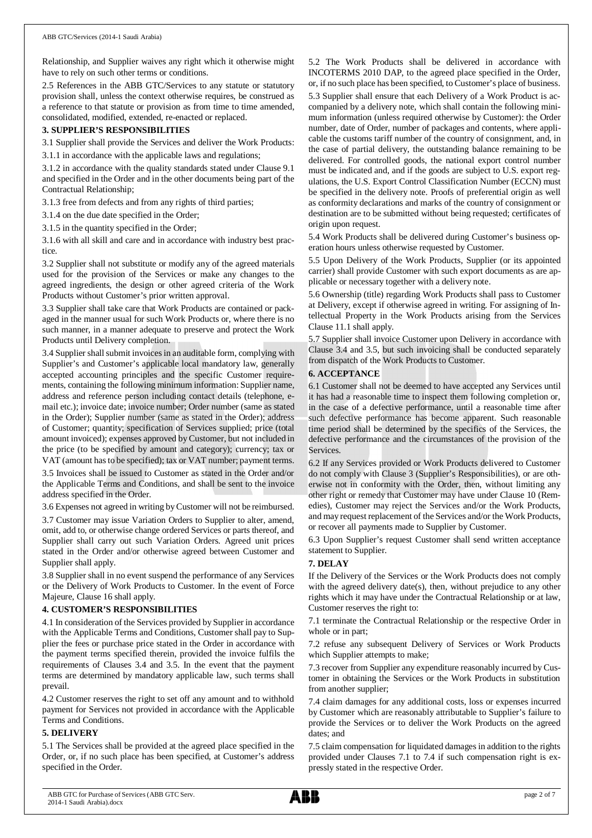Relationship, and Supplier waives any right which it otherwise might have to rely on such other terms or conditions.

2.5 References in the ABB GTC/Services to any statute or statutory provision shall, unless the context otherwise requires, be construed as a reference to that statute or provision as from time to time amended, consolidated, modified, extended, re-enacted or replaced.

### **3. SUPPLIER'S RESPONSIBILITIES**

3.1 Supplier shall provide the Services and deliver the Work Products:

3.1.1 in accordance with the applicable laws and regulations;

3.1.2 in accordance with the quality standards stated under Clause 9.1 and specified in the Order and in the other documents being part of the Contractual Relationship;

3.1.3 free from defects and from any rights of third parties;

3.1.4 on the due date specified in the Order;

3.1.5 in the quantity specified in the Order;

3.1.6 with all skill and care and in accordance with industry best practice.

3.2 Supplier shall not substitute or modify any of the agreed materials used for the provision of the Services or make any changes to the agreed ingredients, the design or other agreed criteria of the Work Products without Customer's prior written approval.

3.3 Supplier shall take care that Work Products are contained or packaged in the manner usual for such Work Products or, where there is no such manner, in a manner adequate to preserve and protect the Work Products until Delivery completion.

3.4 Supplier shall submit invoices in an auditable form, complying with Supplier's and Customer's applicable local mandatory law, generally accepted accounting principles and the specific Customer requirements, containing the following minimum information: Supplier name, address and reference person including contact details (telephone, email etc.); invoice date; invoice number; Order number (same as stated in the Order); Supplier number (same as stated in the Order); address of Customer; quantity; specification of Services supplied; price (total amount invoiced); expenses approved by Customer, but not included in the price (to be specified by amount and category); currency; tax or VAT (amount has to be specified); tax or VAT number; payment terms. 3.5 Invoices shall be issued to Customer as stated in the Order and/or

the Applicable Terms and Conditions, and shall be sent to the invoice address specified in the Order.

3.6 Expenses not agreed in writing by Customer will not be reimbursed.

3.7 Customer may issue Variation Orders to Supplier to alter, amend, omit, add to, or otherwise change ordered Services or parts thereof, and Supplier shall carry out such Variation Orders. Agreed unit prices stated in the Order and/or otherwise agreed between Customer and Supplier shall apply.

3.8 Supplier shall in no event suspend the performance of any Services or the Delivery of Work Products to Customer. In the event of Force Majeure, Clause 16 shall apply.

### **4. CUSTOMER'S RESPONSIBILITIES**

4.1 In consideration of the Services provided by Supplier in accordance with the Applicable Terms and Conditions, Customer shall pay to Supplier the fees or purchase price stated in the Order in accordance with the payment terms specified therein, provided the invoice fulfils the requirements of Clauses 3.4 and 3.5. In the event that the payment terms are determined by mandatory applicable law, such terms shall prevail.

4.2 Customer reserves the right to set off any amount and to withhold payment for Services not provided in accordance with the Applicable Terms and Conditions.

#### **5. DELIVERY**

5.1 The Services shall be provided at the agreed place specified in the Order, or, if no such place has been specified, at Customer's address specified in the Order.

5.2 The Work Products shall be delivered in accordance with INCOTERMS 2010 DAP, to the agreed place specified in the Order, or, if no such place has been specified, to Customer's place of business. 5.3 Supplier shall ensure that each Delivery of a Work Product is accompanied by a delivery note, which shall contain the following minimum information (unless required otherwise by Customer): the Order number, date of Order, number of packages and contents, where applicable the customs tariff number of the country of consignment, and, in the case of partial delivery, the outstanding balance remaining to be delivered. For controlled goods, the national export control number must be indicated and, and if the goods are subject to U.S. export regulations, the U.S. Export Control Classification Number (ECCN) must be specified in the delivery note. Proofs of preferential origin as well as conformity declarations and marks of the country of consignment or destination are to be submitted without being requested; certificates of origin upon request.

5.4 Work Products shall be delivered during Customer's business operation hours unless otherwise requested by Customer.

5.5 Upon Delivery of the Work Products, Supplier (or its appointed carrier) shall provide Customer with such export documents as are applicable or necessary together with a delivery note.

5.6 Ownership (title) regarding Work Products shall pass to Customer at Delivery, except if otherwise agreed in writing. For assigning of Intellectual Property in the Work Products arising from the Services Clause 11.1 shall apply.

5.7 Supplier shall invoice Customer upon Delivery in accordance with Clause 3.4 and 3.5, but such invoicing shall be conducted separately from dispatch of the Work Products to Customer.

### **6. ACCEPTANCE**

6.1 Customer shall not be deemed to have accepted any Services until it has had a reasonable time to inspect them following completion or, in the case of a defective performance, until a reasonable time after such defective performance has become apparent. Such reasonable time period shall be determined by the specifics of the Services, the defective performance and the circumstances of the provision of the Services.

6.2 If any Services provided or Work Products delivered to Customer do not comply with Clause 3 (Supplier's Responsibilities), or are otherwise not in conformity with the Order, then, without limiting any other right or remedy that Customer may have under Clause 10 (Remedies), Customer may reject the Services and/or the Work Products, and may request replacement of the Services and/or the Work Products, or recover all payments made to Supplier by Customer.

6.3 Upon Supplier's request Customer shall send written acceptance statement to Supplier.

### **7. DELAY**

If the Delivery of the Services or the Work Products does not comply with the agreed delivery date(s), then, without prejudice to any other rights which it may have under the Contractual Relationship or at law, Customer reserves the right to:

7.1 terminate the Contractual Relationship or the respective Order in whole or in part;

7.2 refuse any subsequent Delivery of Services or Work Products which Supplier attempts to make;

7.3 recover from Supplier any expenditure reasonably incurred by Customer in obtaining the Services or the Work Products in substitution from another supplier;

7.4 claim damages for any additional costs, loss or expenses incurred by Customer which are reasonably attributable to Supplier's failure to provide the Services or to deliver the Work Products on the agreed dates; and

7.5 claim compensation for liquidated damages in addition to the rights provided under Clauses 7.1 to 7.4 if such compensation right is expressly stated in the respective Order.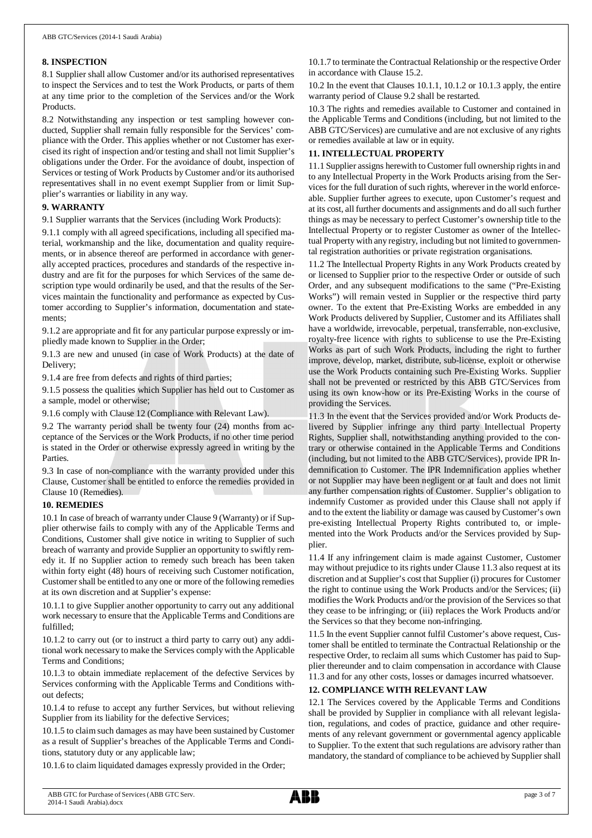### **8. INSPECTION**

8.1 Supplier shall allow Customer and/or its authorised representatives to inspect the Services and to test the Work Products, or parts of them at any time prior to the completion of the Services and/or the Work Products.

8.2 Notwithstanding any inspection or test sampling however conducted, Supplier shall remain fully responsible for the Services' compliance with the Order. This applies whether or not Customer has exercised its right of inspection and/or testing and shall not limit Supplier's obligations under the Order. For the avoidance of doubt, inspection of Services or testing of Work Products by Customer and/or its authorised representatives shall in no event exempt Supplier from or limit Supplier's warranties or liability in any way.

### **9. WARRANTY**

9.1 Supplier warrants that the Services (including Work Products):

9.1.1 comply with all agreed specifications, including all specified material, workmanship and the like, documentation and quality requirements, or in absence thereof are performed in accordance with generally accepted practices, procedures and standards of the respective industry and are fit for the purposes for which Services of the same description type would ordinarily be used, and that the results of the Services maintain the functionality and performance as expected by Customer according to Supplier's information, documentation and statements;

9.1.2 are appropriate and fit for any particular purpose expressly or impliedly made known to Supplier in the Order;

9.1.3 are new and unused (in case of Work Products) at the date of Delivery;

9.1.4 are free from defects and rights of third parties;

9.1.5 possess the qualities which Supplier has held out to Customer as a sample, model or otherwise;

9.1.6 comply with Clause 12 (Compliance with Relevant Law).

9.2 The warranty period shall be twenty four (24) months from acceptance of the Services or the Work Products, if no other time period is stated in the Order or otherwise expressly agreed in writing by the Parties.

9.3 In case of non-compliance with the warranty provided under this Clause, Customer shall be entitled to enforce the remedies provided in Clause 10 (Remedies).

## **10. REMEDIES**

10.1 In case of breach of warranty under Clause 9 (Warranty) or if Supplier otherwise fails to comply with any of the Applicable Terms and Conditions, Customer shall give notice in writing to Supplier of such breach of warranty and provide Supplier an opportunity to swiftly remedy it. If no Supplier action to remedy such breach has been taken within forty eight (48) hours of receiving such Customer notification, Customer shall be entitled to any one or more of the following remedies at its own discretion and at Supplier's expense:

10.1.1 to give Supplier another opportunity to carry out any additional work necessary to ensure that the Applicable Terms and Conditions are fulfilled;

10.1.2 to carry out (or to instruct a third party to carry out) any additional work necessary to make the Services comply with the Applicable Terms and Conditions;

10.1.3 to obtain immediate replacement of the defective Services by Services conforming with the Applicable Terms and Conditions without defects;

10.1.4 to refuse to accept any further Services, but without relieving Supplier from its liability for the defective Services;

10.1.5 to claim such damages as may have been sustained by Customer as a result of Supplier's breaches of the Applicable Terms and Conditions, statutory duty or any applicable law;

10.1.6 to claim liquidated damages expressly provided in the Order;

10.1.7 to terminate the Contractual Relationship or the respective Order in accordance with Clause 15.2.

10.2 In the event that Clauses 10.1.1, 10.1.2 or 10.1.3 apply, the entire warranty period of Clause 9.2 shall be restarted.

10.3 The rights and remedies available to Customer and contained in the Applicable Terms and Conditions (including, but not limited to the ABB GTC/Services) are cumulative and are not exclusive of any rights or remedies available at law or in equity.

## **11. INTELLECTUAL PROPERTY**

11.1 Supplier assigns herewith to Customer full ownership rights in and to any Intellectual Property in the Work Products arising from the Services for the full duration of such rights, wherever in the world enforceable. Supplier further agrees to execute, upon Customer's request and at its cost, all further documents and assignments and do all such further things as may be necessary to perfect Customer's ownership title to the Intellectual Property or to register Customer as owner of the Intellectual Property with any registry, including but not limited to governmental registration authorities or private registration organisations.

11.2 The Intellectual Property Rights in any Work Products created by or licensed to Supplier prior to the respective Order or outside of such Order, and any subsequent modifications to the same ("Pre-Existing Works") will remain vested in Supplier or the respective third party owner. To the extent that Pre-Existing Works are embedded in any Work Products delivered by Supplier, Customer and its Affiliates shall have a worldwide, irrevocable, perpetual, transferrable, non-exclusive, royalty-free licence with rights to sublicense to use the Pre-Existing Works as part of such Work Products, including the right to further improve, develop, market, distribute, sub-license, exploit or otherwise use the Work Products containing such Pre-Existing Works. Supplier shall not be prevented or restricted by this ABB GTC/Services from using its own know-how or its Pre-Existing Works in the course of providing the Services.

11.3 In the event that the Services provided and/or Work Products delivered by Supplier infringe any third party Intellectual Property Rights, Supplier shall, notwithstanding anything provided to the contrary or otherwise contained in the Applicable Terms and Conditions (including, but not limited to the ABB GTC/Services), provide IPR Indemnification to Customer. The IPR Indemnification applies whether or not Supplier may have been negligent or at fault and does not limit any further compensation rights of Customer. Supplier's obligation to indemnify Customer as provided under this Clause shall not apply if and to the extent the liability or damage was caused by Customer's own pre-existing Intellectual Property Rights contributed to, or implemented into the Work Products and/or the Services provided by Supplier.

11.4 If any infringement claim is made against Customer, Customer may without prejudice to its rights under Clause 11.3 also request at its discretion and at Supplier's cost that Supplier (i) procures for Customer the right to continue using the Work Products and/or the Services; (ii) modifies the Work Products and/or the provision of the Services so that they cease to be infringing; or (iii) replaces the Work Products and/or the Services so that they become non-infringing.

11.5 In the event Supplier cannot fulfil Customer's above request, Customer shall be entitled to terminate the Contractual Relationship or the respective Order, to reclaim all sums which Customer has paid to Supplier thereunder and to claim compensation in accordance with Clause 11.3 and for any other costs, losses or damages incurred whatsoever.

## **12. COMPLIANCE WITH RELEVANT LAW**

12.1 The Services covered by the Applicable Terms and Conditions shall be provided by Supplier in compliance with all relevant legislation, regulations, and codes of practice, guidance and other requirements of any relevant government or governmental agency applicable to Supplier. To the extent that such regulations are advisory rather than mandatory, the standard of compliance to be achieved by Supplier shall

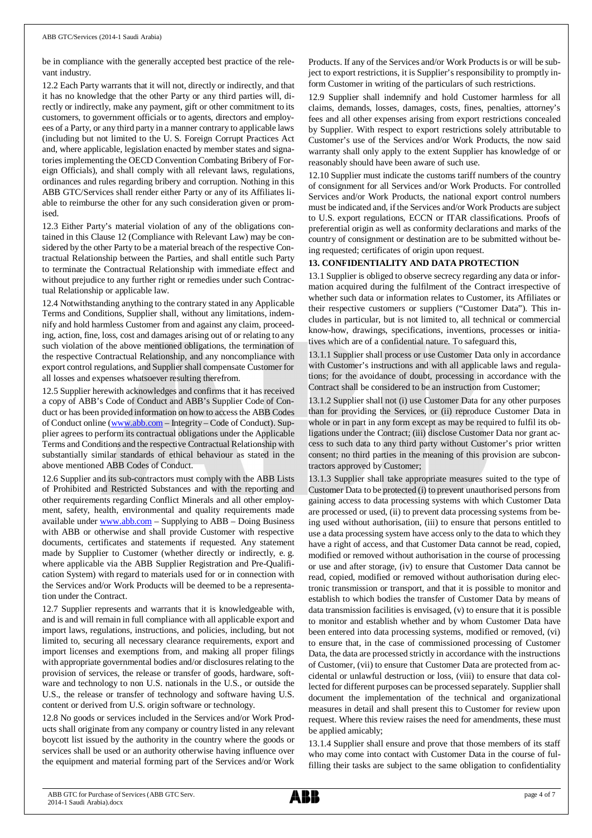be in compliance with the generally accepted best practice of the relevant industry.

12.2 Each Party warrants that it will not, directly or indirectly, and that it has no knowledge that the other Party or any third parties will, directly or indirectly, make any payment, gift or other commitment to its customers, to government officials or to agents, directors and employees of a Party, or any third party in a manner contrary to applicable laws (including but not limited to the U. S. Foreign Corrupt Practices Act and, where applicable, legislation enacted by member states and signatories implementing the OECD Convention Combating Bribery of Foreign Officials), and shall comply with all relevant laws, regulations, ordinances and rules regarding bribery and corruption. Nothing in this ABB GTC/Services shall render either Party or any of its Affiliates liable to reimburse the other for any such consideration given or promised.

12.3 Either Party's material violation of any of the obligations contained in this Clause 12 (Compliance with Relevant Law) may be considered by the other Party to be a material breach of the respective Contractual Relationship between the Parties, and shall entitle such Party to terminate the Contractual Relationship with immediate effect and without prejudice to any further right or remedies under such Contractual Relationship or applicable law.

12.4 Notwithstanding anything to the contrary stated in any Applicable Terms and Conditions, Supplier shall, without any limitations, indemnify and hold harmless Customer from and against any claim, proceeding, action, fine, loss, cost and damages arising out of or relating to any such violation of the above mentioned obligations, the termination of the respective Contractual Relationship, and any noncompliance with export control regulations, and Supplier shall compensate Customer for all losses and expenses whatsoever resulting therefrom.

12.5 Supplier herewith acknowledges and confirms that it has received a copy of ABB's Code of Conduct and ABB's Supplier Code of Conduct or has been provided information on how to access the ABB Codes of Conduct online ([www.abb.com](http://www.abb.com/) – Integrity – Code of Conduct). Supplier agrees to perform its contractual obligations under the Applicable Terms and Conditions and the respective Contractual Relationship with substantially similar standards of ethical behaviour as stated in the above mentioned ABB Codes of Conduct.

12.6 Supplier and its sub-contractors must comply with the ABB Lists of Prohibited and Restricted Substances and with the reporting and other requirements regarding Conflict Minerals and all other employment, safety, health, environmental and quality requirements made available under [www.abb.com](http://www.abb.com/) – Supplying to ABB – Doing Business with ABB or otherwise and shall provide Customer with respective documents, certificates and statements if requested. Any statement made by Supplier to Customer (whether directly or indirectly, e. g. where applicable via the ABB Supplier Registration and Pre-Qualification System) with regard to materials used for or in connection with the Services and/or Work Products will be deemed to be a representation under the Contract.

12.7 Supplier represents and warrants that it is knowledgeable with, and is and will remain in full compliance with all applicable export and import laws, regulations, instructions, and policies, including, but not limited to, securing all necessary clearance requirements, export and import licenses and exemptions from, and making all proper filings with appropriate governmental bodies and/or disclosures relating to the provision of services, the release or transfer of goods, hardware, software and technology to non U.S. nationals in the U.S., or outside the U.S., the release or transfer of technology and software having U.S. content or derived from U.S. origin software or technology.

12.8 No goods or services included in the Services and/or Work Products shall originate from any company or country listed in any relevant boycott list issued by the authority in the country where the goods or services shall be used or an authority otherwise having influence over the equipment and material forming part of the Services and/or Work

Products. If any of the Services and/or Work Products is or will be subject to export restrictions, it is Supplier's responsibility to promptly inform Customer in writing of the particulars of such restrictions.

12.9 Supplier shall indemnify and hold Customer harmless for all claims, demands, losses, damages, costs, fines, penalties, attorney's fees and all other expenses arising from export restrictions concealed by Supplier. With respect to export restrictions solely attributable to Customer's use of the Services and/or Work Products, the now said warranty shall only apply to the extent Supplier has knowledge of or reasonably should have been aware of such use.

12.10 Supplier must indicate the customs tariff numbers of the country of consignment for all Services and/or Work Products. For controlled Services and/or Work Products, the national export control numbers must be indicated and, if the Services and/or Work Products are subject to U.S. export regulations, ECCN or ITAR classifications. Proofs of preferential origin as well as conformity declarations and marks of the country of consignment or destination are to be submitted without being requested; certificates of origin upon request.

# **13. CONFIDENTIALITY AND DATA PROTECTION**

13.1 Supplier is obliged to observe secrecy regarding any data or information acquired during the fulfilment of the Contract irrespective of whether such data or information relates to Customer, its Affiliates or their respective customers or suppliers ("Customer Data"). This includes in particular, but is not limited to, all technical or commercial know-how, drawings, specifications, inventions, processes or initiatives which are of a confidential nature. To safeguard this,

13.1.1 Supplier shall process or use Customer Data only in accordance with Customer's instructions and with all applicable laws and regulations; for the avoidance of doubt, processing in accordance with the Contract shall be considered to be an instruction from Customer;

13.1.2 Supplier shall not (i) use Customer Data for any other purposes than for providing the Services, or (ii) reproduce Customer Data in whole or in part in any form except as may be required to fulfil its obligations under the Contract; (iii) disclose Customer Data nor grant access to such data to any third party without Customer's prior written consent; no third parties in the meaning of this provision are subcontractors approved by Customer;

13.1.3 Supplier shall take appropriate measures suited to the type of Customer Data to be protected (i) to prevent unauthorised persons from gaining access to data processing systems with which Customer Data are processed or used, (ii) to prevent data processing systems from being used without authorisation, (iii) to ensure that persons entitled to use a data processing system have access only to the data to which they have a right of access, and that Customer Data cannot be read, copied, modified or removed without authorisation in the course of processing or use and after storage, (iv) to ensure that Customer Data cannot be read, copied, modified or removed without authorisation during electronic transmission or transport, and that it is possible to monitor and establish to which bodies the transfer of Customer Data by means of data transmission facilities is envisaged, (v) to ensure that it is possible to monitor and establish whether and by whom Customer Data have been entered into data processing systems, modified or removed, (vi) to ensure that, in the case of commissioned processing of Customer Data, the data are processed strictly in accordance with the instructions of Customer, (vii) to ensure that Customer Data are protected from accidental or unlawful destruction or loss, (viii) to ensure that data collected for different purposes can be processed separately. Supplier shall document the implementation of the technical and organizational measures in detail and shall present this to Customer for review upon request. Where this review raises the need for amendments, these must be applied amicably;

13.1.4 Supplier shall ensure and prove that those members of its staff who may come into contact with Customer Data in the course of fulfilling their tasks are subject to the same obligation to confidentiality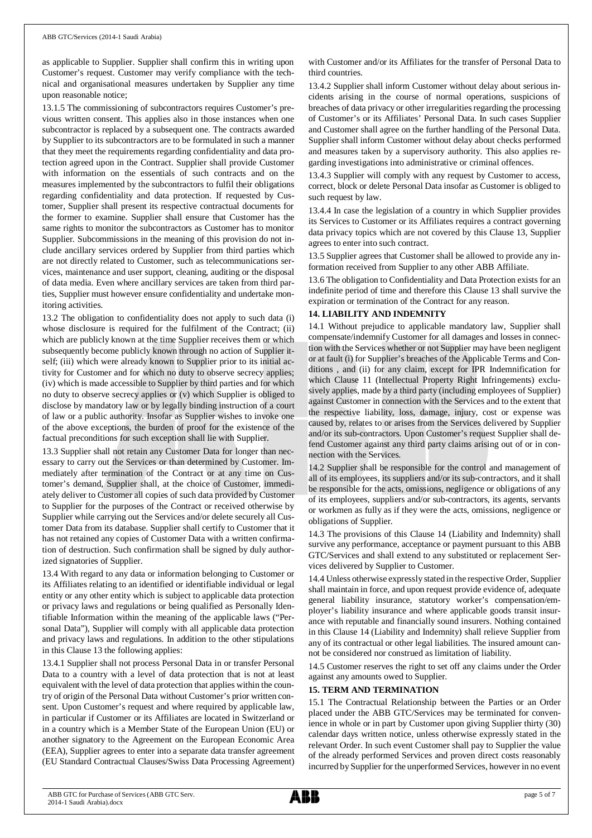as applicable to Supplier. Supplier shall confirm this in writing upon Customer's request. Customer may verify compliance with the technical and organisational measures undertaken by Supplier any time upon reasonable notice;

13.1.5 The commissioning of subcontractors requires Customer's previous written consent. This applies also in those instances when one subcontractor is replaced by a subsequent one. The contracts awarded by Supplier to its subcontractors are to be formulated in such a manner that they meet the requirements regarding confidentiality and data protection agreed upon in the Contract. Supplier shall provide Customer with information on the essentials of such contracts and on the measures implemented by the subcontractors to fulfil their obligations regarding confidentiality and data protection. If requested by Customer, Supplier shall present its respective contractual documents for the former to examine. Supplier shall ensure that Customer has the same rights to monitor the subcontractors as Customer has to monitor Supplier. Subcommissions in the meaning of this provision do not include ancillary services ordered by Supplier from third parties which are not directly related to Customer, such as telecommunications services, maintenance and user support, cleaning, auditing or the disposal of data media. Even where ancillary services are taken from third parties, Supplier must however ensure confidentiality and undertake monitoring activities.

13.2 The obligation to confidentiality does not apply to such data (i) whose disclosure is required for the fulfilment of the Contract; (ii) which are publicly known at the time Supplier receives them or which subsequently become publicly known through no action of Supplier itself; (iii) which were already known to Supplier prior to its initial activity for Customer and for which no duty to observe secrecy applies; (iv) which is made accessible to Supplier by third parties and for which no duty to observe secrecy applies or (v) which Supplier is obliged to disclose by mandatory law or by legally binding instruction of a court of law or a public authority. Insofar as Supplier wishes to invoke one of the above exceptions, the burden of proof for the existence of the factual preconditions for such exception shall lie with Supplier.

13.3 Supplier shall not retain any Customer Data for longer than necessary to carry out the Services or than determined by Customer. Immediately after termination of the Contract or at any time on Customer's demand, Supplier shall, at the choice of Customer, immediately deliver to Customer all copies of such data provided by Customer to Supplier for the purposes of the Contract or received otherwise by Supplier while carrying out the Services and/or delete securely all Customer Data from its database. Supplier shall certify to Customer that it has not retained any copies of Customer Data with a written confirmation of destruction. Such confirmation shall be signed by duly authorized signatories of Supplier.

13.4 With regard to any data or information belonging to Customer or its Affiliates relating to an identified or identifiable individual or legal entity or any other entity which is subject to applicable data protection or privacy laws and regulations or being qualified as Personally Identifiable Information within the meaning of the applicable laws ("Personal Data"), Supplier will comply with all applicable data protection and privacy laws and regulations. In addition to the other stipulations in this Clause 13 the following applies:

13.4.1 Supplier shall not process Personal Data in or transfer Personal Data to a country with a level of data protection that is not at least equivalent with the level of data protection that applies within the country of origin of the Personal Data without Customer's prior written consent. Upon Customer's request and where required by applicable law, in particular if Customer or its Affiliates are located in Switzerland or in a country which is a Member State of the European Union (EU) or another signatory to the Agreement on the European Economic Area (EEA), Supplier agrees to enter into a separate data transfer agreement (EU Standard Contractual Clauses/Swiss Data Processing Agreement) with Customer and/or its Affiliates for the transfer of Personal Data to third countries.

13.4.2 Supplier shall inform Customer without delay about serious incidents arising in the course of normal operations, suspicions of breaches of data privacy or other irregularities regarding the processing of Customer's or its Affiliates' Personal Data. In such cases Supplier and Customer shall agree on the further handling of the Personal Data. Supplier shall inform Customer without delay about checks performed and measures taken by a supervisory authority. This also applies regarding investigations into administrative or criminal offences.

13.4.3 Supplier will comply with any request by Customer to access, correct, block or delete Personal Data insofar as Customer is obliged to such request by law.

13.4.4 In case the legislation of a country in which Supplier provides its Services to Customer or its Affiliates requires a contract governing data privacy topics which are not covered by this Clause 13, Supplier agrees to enter into such contract.

13.5 Supplier agrees that Customer shall be allowed to provide any information received from Supplier to any other ABB Affiliate.

13.6 The obligation to Confidentiality and Data Protection exists for an indefinite period of time and therefore this Clause 13 shall survive the expiration or termination of the Contract for any reason.

## **14. LIABILITY AND INDEMNITY**

14.1 Without prejudice to applicable mandatory law, Supplier shall compensate/indemnify Customer for all damages and losses in connection with the Services whether or not Supplier may have been negligent or at fault (i) for Supplier's breaches of the Applicable Terms and Conditions , and (ii) for any claim, except for IPR Indemnification for which Clause 11 (Intellectual Property Right Infringements) exclusively applies, made by a third party (including employees of Supplier) against Customer in connection with the Services and to the extent that the respective liability, loss, damage, injury, cost or expense was caused by, relates to or arises from the Services delivered by Supplier and/or its sub-contractors. Upon Customer's request Supplier shall defend Customer against any third party claims arising out of or in connection with the Services.

14.2 Supplier shall be responsible for the control and management of all of its employees, its suppliers and/or its sub-contractors, and it shall be responsible for the acts, omissions, negligence or obligations of any of its employees, suppliers and/or sub-contractors, its agents, servants or workmen as fully as if they were the acts, omissions, negligence or obligations of Supplier.

14.3 The provisions of this Clause 14 (Liability and Indemnity) shall survive any performance, acceptance or payment pursuant to this ABB GTC/Services and shall extend to any substituted or replacement Services delivered by Supplier to Customer.

14.4 Unless otherwise expressly stated in the respective Order, Supplier shall maintain in force, and upon request provide evidence of, adequate general liability insurance, statutory worker's compensation/employer's liability insurance and where applicable goods transit insurance with reputable and financially sound insurers. Nothing contained in this Clause 14 (Liability and Indemnity) shall relieve Supplier from any of its contractual or other legal liabilities. The insured amount cannot be considered nor construed as limitation of liability.

14.5 Customer reserves the right to set off any claims under the Order against any amounts owed to Supplier.

# **15. TERM AND TERMINATION**

15.1 The Contractual Relationship between the Parties or an Order placed under the ABB GTC/Services may be terminated for convenience in whole or in part by Customer upon giving Supplier thirty (30) calendar days written notice, unless otherwise expressly stated in the relevant Order. In such event Customer shall pay to Supplier the value of the already performed Services and proven direct costs reasonably incurred by Supplier for the unperformed Services, however in no event

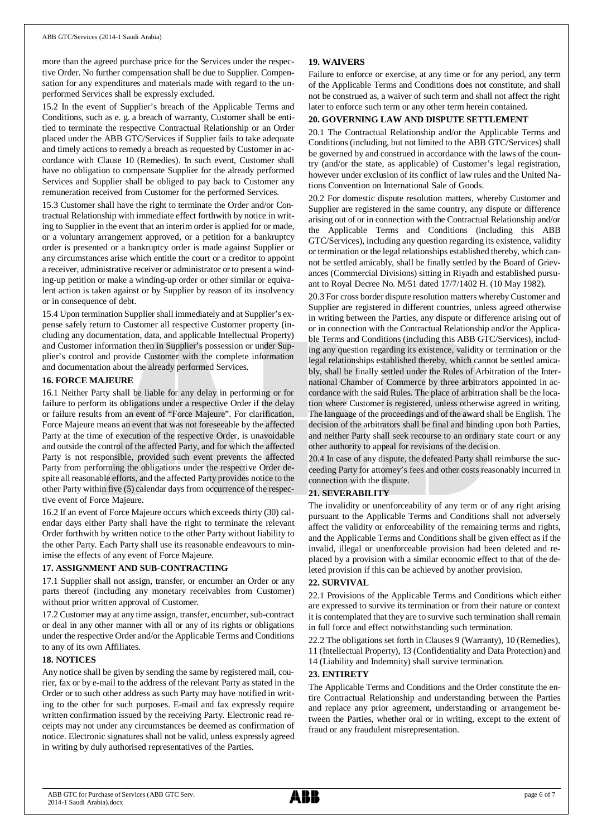more than the agreed purchase price for the Services under the respective Order. No further compensation shall be due to Supplier. Compensation for any expenditures and materials made with regard to the unperformed Services shall be expressly excluded.

15.2 In the event of Supplier's breach of the Applicable Terms and Conditions, such as e. g. a breach of warranty, Customer shall be entitled to terminate the respective Contractual Relationship or an Order placed under the ABB GTC/Services if Supplier fails to take adequate and timely actions to remedy a breach as requested by Customer in accordance with Clause 10 (Remedies). In such event, Customer shall have no obligation to compensate Supplier for the already performed Services and Supplier shall be obliged to pay back to Customer any remuneration received from Customer for the performed Services.

15.3 Customer shall have the right to terminate the Order and/or Contractual Relationship with immediate effect forthwith by notice in writing to Supplier in the event that an interim order is applied for or made, or a voluntary arrangement approved, or a petition for a bankruptcy order is presented or a bankruptcy order is made against Supplier or any circumstances arise which entitle the court or a creditor to appoint a receiver, administrative receiver or administrator or to present a winding-up petition or make a winding-up order or other similar or equivalent action is taken against or by Supplier by reason of its insolvency or in consequence of debt.

15.4 Upon termination Supplier shall immediately and at Supplier's expense safely return to Customer all respective Customer property (including any documentation, data, and applicable Intellectual Property) and Customer information then in Supplier's possession or under Supplier's control and provide Customer with the complete information and documentation about the already performed Services.

### **16. FORCE MAJEURE**

16.1 Neither Party shall be liable for any delay in performing or for failure to perform its obligations under a respective Order if the delay or failure results from an event of "Force Majeure". For clarification, Force Majeure means an event that was not foreseeable by the affected Party at the time of execution of the respective Order, is unavoidable and outside the control of the affected Party, and for which the affected Party is not responsible, provided such event prevents the affected Party from performing the obligations under the respective Order despite all reasonable efforts, and the affected Party provides notice to the other Party within five (5) calendar days from occurrence of the respective event of Force Majeure.

16.2 If an event of Force Majeure occurs which exceeds thirty (30) calendar days either Party shall have the right to terminate the relevant Order forthwith by written notice to the other Party without liability to the other Party. Each Party shall use its reasonable endeavours to minimise the effects of any event of Force Majeure.

### **17. ASSIGNMENT AND SUB-CONTRACTING**

17.1 Supplier shall not assign, transfer, or encumber an Order or any parts thereof (including any monetary receivables from Customer) without prior written approval of Customer.

17.2 Customer may at any time assign, transfer, encumber, sub-contract or deal in any other manner with all or any of its rights or obligations under the respective Order and/or the Applicable Terms and Conditions to any of its own Affiliates.

### **18. NOTICES**

Any notice shall be given by sending the same by registered mail, courier, fax or by e-mail to the address of the relevant Party as stated in the Order or to such other address as such Party may have notified in writing to the other for such purposes. E-mail and fax expressly require written confirmation issued by the receiving Party. Electronic read receipts may not under any circumstances be deemed as confirmation of notice. Electronic signatures shall not be valid, unless expressly agreed in writing by duly authorised representatives of the Parties.

### **19. WAIVERS**

Failure to enforce or exercise, at any time or for any period, any term of the Applicable Terms and Conditions does not constitute, and shall not be construed as, a waiver of such term and shall not affect the right later to enforce such term or any other term herein contained.

### **20. GOVERNING LAW AND DISPUTE SETTLEMENT**

20.1 The Contractual Relationship and/or the Applicable Terms and Conditions (including, but not limited to the ABB GTC/Services) shall be governed by and construed in accordance with the laws of the country (and/or the state, as applicable) of Customer's legal registration, however under exclusion of its conflict of law rules and the United Nations Convention on International Sale of Goods.

20.2 For domestic dispute resolution matters, whereby Customer and Supplier are registered in the same country, any dispute or difference arising out of or in connection with the Contractual Relationship and/or the Applicable Terms and Conditions (including this ABB GTC/Services), including any question regarding its existence, validity or termination or the legal relationships established thereby, which cannot be settled amicably, shall be finally settled by the Board of Grievances (Commercial Divisions) sitting in Riyadh and established pursuant to Royal Decree No. M/51 dated 17/7/1402 H. (10 May 1982).

20.3 For cross border dispute resolution matters whereby Customer and Supplier are registered in different countries, unless agreed otherwise in writing between the Parties, any dispute or difference arising out of or in connection with the Contractual Relationship and/or the Applicable Terms and Conditions (including this ABB GTC/Services), including any question regarding its existence, validity or termination or the legal relationships established thereby, which cannot be settled amicably, shall be finally settled under the Rules of Arbitration of the International Chamber of Commerce by three arbitrators appointed in accordance with the said Rules. The place of arbitration shall be the location where Customer is registered, unless otherwise agreed in writing. The language of the proceedings and of the award shall be English. The decision of the arbitrators shall be final and binding upon both Parties, and neither Party shall seek recourse to an ordinary state court or any other authority to appeal for revisions of the decision.

20.4 In case of any dispute, the defeated Party shall reimburse the succeeding Party for attorney's fees and other costs reasonably incurred in connection with the dispute.

### **21. SEVERABILITY**

The invalidity or unenforceability of any term or of any right arising pursuant to the Applicable Terms and Conditions shall not adversely affect the validity or enforceability of the remaining terms and rights, and the Applicable Terms and Conditions shall be given effect as if the invalid, illegal or unenforceable provision had been deleted and replaced by a provision with a similar economic effect to that of the deleted provision if this can be achieved by another provision.

#### **22. SURVIVAL**

22.1 Provisions of the Applicable Terms and Conditions which either are expressed to survive its termination or from their nature or context it is contemplated that they are to survive such termination shall remain in full force and effect notwithstanding such termination.

22.2 The obligations set forth in Clauses 9 (Warranty), 10 (Remedies), 11 (Intellectual Property), 13 (Confidentiality and Data Protection) and

14 (Liability and Indemnity) shall survive termination.

#### **23. ENTIRETY**

The Applicable Terms and Conditions and the Order constitute the entire Contractual Relationship and understanding between the Parties and replace any prior agreement, understanding or arrangement between the Parties, whether oral or in writing, except to the extent of fraud or any fraudulent misrepresentation.